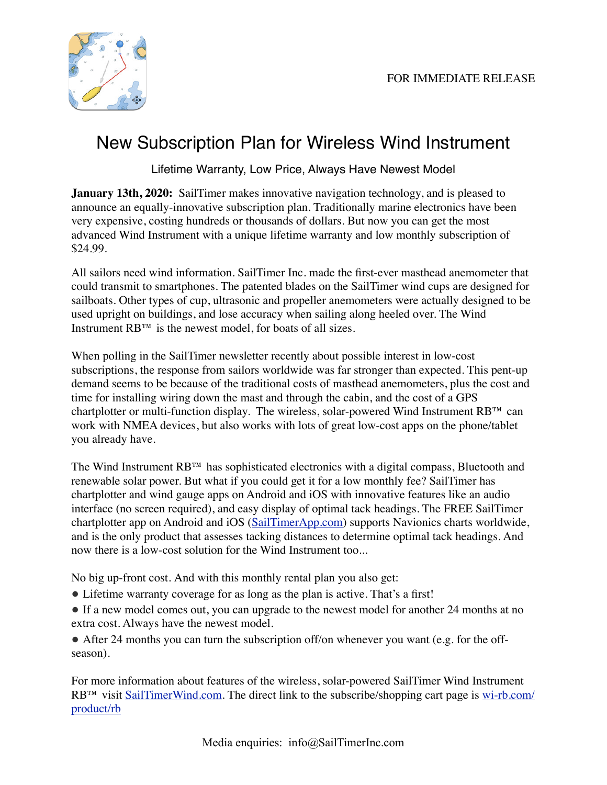

## New Subscription Plan for Wireless Wind Instrument

Lifetime Warranty, Low Price, Always Have Newest Model

**January 13th, 2020:** SailTimer makes innovative navigation technology, and is pleased to announce an equally-innovative subscription plan. Traditionally marine electronics have been very expensive, costing hundreds or thousands of dollars. But now you can get the most advanced Wind Instrument with a unique lifetime warranty and low monthly subscription of \$24.99.

All sailors need wind information. SailTimer Inc. made the first-ever masthead anemometer that could transmit to smartphones. The patented blades on the SailTimer wind cups are designed for sailboats. Other types of cup, ultrasonic and propeller anemometers were actually designed to be used upright on buildings, and lose accuracy when sailing along heeled over. The Wind Instrument RB™ is the newest model, for boats of all sizes.

When polling in the SailTimer newsletter recently about possible interest in low-cost subscriptions, the response from sailors worldwide was far stronger than expected. This pent-up demand seems to be because of the traditional costs of masthead anemometers, plus the cost and time for installing wiring down the mast and through the cabin, and the cost of a GPS chartplotter or multi-function display. The wireless, solar-powered Wind Instrument RB™ can work with NMEA devices, but also works with lots of great low-cost apps on the phone/tablet you already have.

The Wind Instrument RB™ has sophisticated electronics with a digital compass, Bluetooth and renewable solar power. But what if you could get it for a low monthly fee? SailTimer has chartplotter and wind gauge apps on Android and iOS with innovative features like an audio interface (no screen required), and easy display of optimal tack headings. The FREE SailTimer chartplotter app on Android and iOS ([SailTimerApp.com\)](http://www.SailTimerApp.com) supports Navionics charts worldwide, and is the only product that assesses tacking distances to determine optimal tack headings. And now there is a low-cost solution for the Wind Instrument too...

No big up-front cost. And with this monthly rental plan you also get:

- ! Lifetime warranty coverage for as long as the plan is active. That's a first!
- If a new model comes out, you can upgrade to the newest model for another 24 months at no extra cost. Always have the newest model.

 $\bullet$  After 24 months you can turn the subscription off/on whenever you want (e.g. for the offseason).

For more information about features of the wireless, solar-powered SailTimer Wind Instrument RB<sup>™</sup> visit [SailTimerWind.com.](https://SailTimerWind.com) The direct link to the subscribe/shopping cart page is [wi-rb.com/](https://SailTimerWind.com) [product/rb](https://SailTimerWind.com)